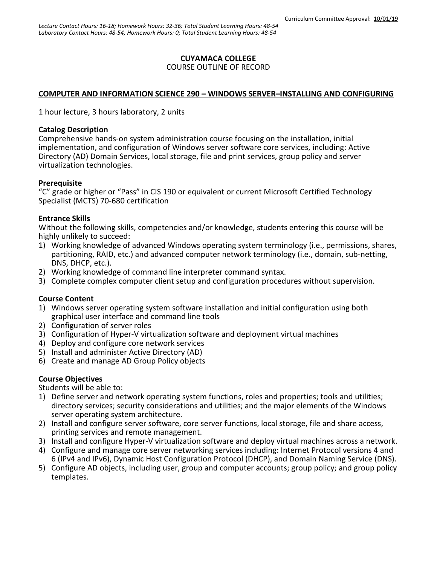## **CUYAMACA COLLEGE**

#### COURSE OUTLINE OF RECORD

### **COMPUTER AND INFORMATION SCIENCE 290 – WINDOWS SERVER–INSTALLING AND CONFIGURING**

1 hour lecture, 3 hours laboratory, 2 units

### **Catalog Description**

Comprehensive hands-on system administration course focusing on the installation, initial implementation, and configuration of Windows server software core services, including: Active Directory (AD) Domain Services, local storage, file and print services, group policy and server virtualization technologies.

### **Prerequisite**

"C" grade or higher or "Pass" in CIS 190 or equivalent or current Microsoft Certified Technology Specialist (MCTS) 70-680 certification

### **Entrance Skills**

Without the following skills, competencies and/or knowledge, students entering this course will be highly unlikely to succeed:

- 1) Working knowledge of advanced Windows operating system terminology (i.e., permissions, shares, partitioning, RAID, etc.) and advanced computer network terminology (i.e., domain, sub-netting, DNS, DHCP, etc.).
- 2) Working knowledge of command line interpreter command syntax.
- 3) Complete complex computer client setup and configuration procedures without supervision.

### **Course Content**

- 1) Windows server operating system software installation and initial configuration using both graphical user interface and command line tools
- 2) Configuration of server roles
- 3) Configuration of Hyper-V virtualization software and deployment virtual machines
- 4) Deploy and configure core network services
- 5) Install and administer Active Directory (AD)
- 6) Create and manage AD Group Policy objects

### **Course Objectives**

Students will be able to:

- 1) Define server and network operating system functions, roles and properties; tools and utilities; directory services; security considerations and utilities; and the major elements of the Windows server operating system architecture.
- 2) Install and configure server software, core server functions, local storage, file and share access, printing services and remote management.
- 3) Install and configure Hyper-V virtualization software and deploy virtual machines across a network. 4) Configure and manage core server networking services including: Internet Protocol versions 4 and
- 6 (IPv4 and IPv6), Dynamic Host Configuration Protocol (DHCP), and Domain Naming Service (DNS).
- 5) Configure AD objects, including user, group and computer accounts; group policy; and group policy templates.